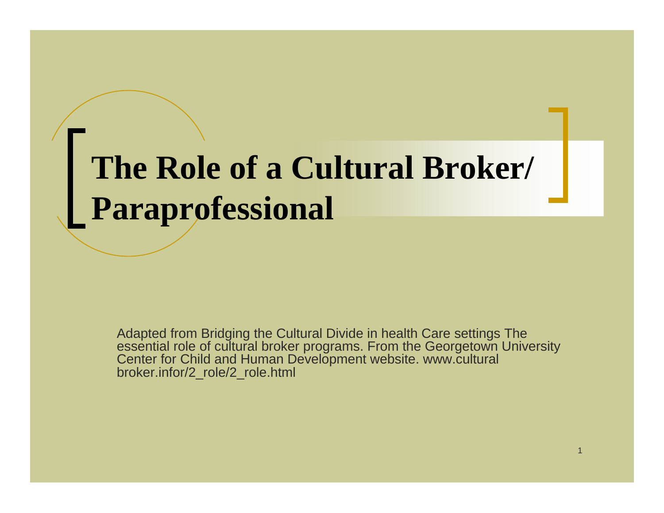#### **The Role of a Cultural Broker/ Paraprofessional**

Adapted from Bridging the Cultural Divide in health Care settings The essential role of cultural broker programs. From the Georgetown University Center for Child and Human Development website. www.cultural broker.infor/2\_role/2\_role.html

1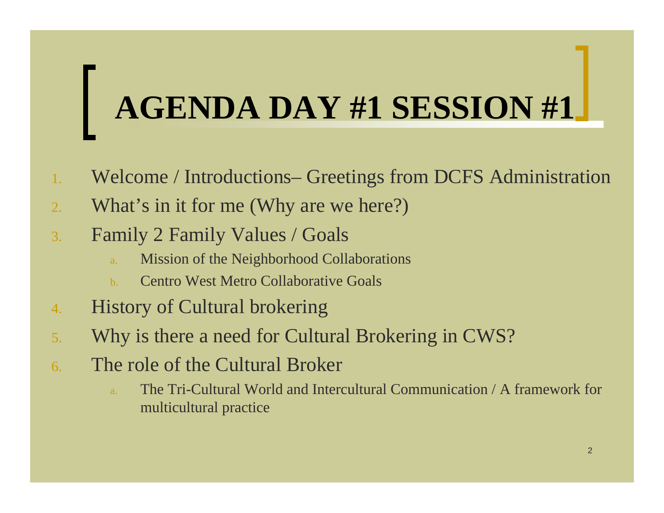## **AGENDA DAY #1 SESSION #1**

- 1.Welcome / Introductions– Greetings from DCFS Administration
- 2.What's in it for me (Why are we here?)
- 3. Family 2 Family Values / Goals
	- a.Mission of the Neighborhood Collaborations
	- b.Centro West Metro Collaborative Goals
- 4.History of Cultural brokering
- 5.Why is there a need for Cultural Brokering in CWS?
- 6. The role of the Cultural Broker
	- a. The Tri-Cultural World and Intercultural Communication / A framework formulticultural practice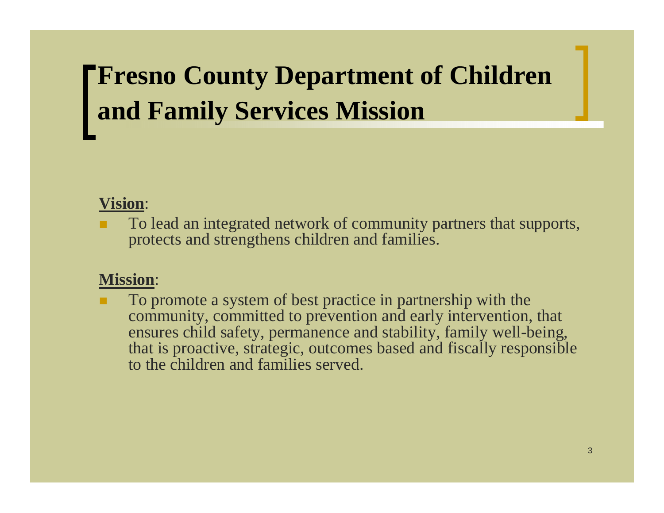#### **FFresno County Department of Children and Family Services Mission**

#### **Vision**:

 To lead an integrated network of community partners that supports, protects and strengthens children and families.

#### **Mission**:

 To promote a system of best practice in partnership with the community, committed to prevention and early intervention, that ensures child safety, permanence and stability, family well-being, that is proactive, strategic, outcomes based and fiscally responsible to the children and families served.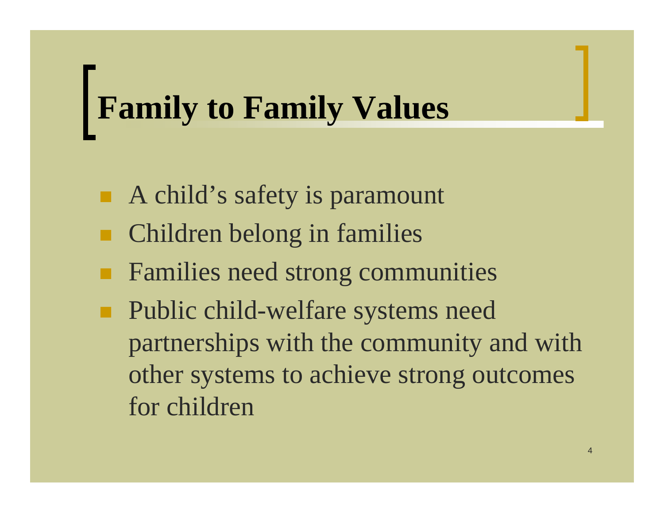#### **Family to Family Values**

- A child's safety is paramount
- Children belong in families
- п Families need strong communities
- $\blacksquare$  Public child-welfare systems need partnerships with the community and with other systems to achieve strong outcomes for children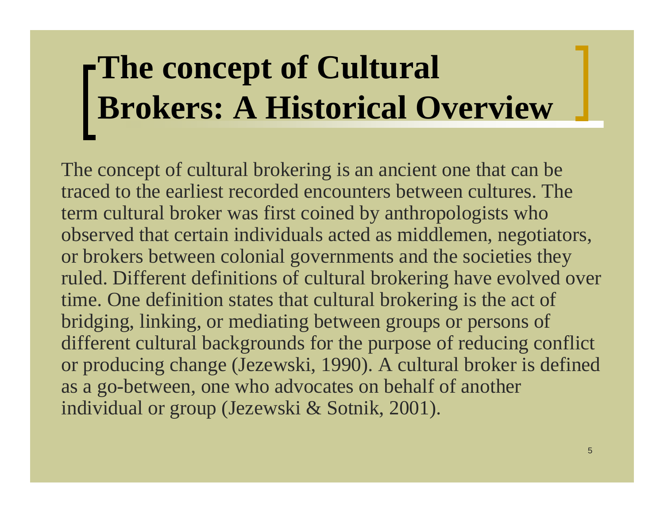## **The concept of Cultural Brokers: A Historical Overview**

The concept of cultural brokering is an ancient one that can be traced to the earliest recorded encounters between cultures. Theterm cultural broker was first coined by anthropologists who observed that certain individuals acted as middlemen, negotiators, or brokers between colonial governments and the societies they ruled. Different definitions of cultural brokering have evolved over time. One definition states that cultural brokering is the act of bridging, linking, or mediating between groups or persons of different cultural backgrounds for the purpose of reducing conflict or producing change (Jezewski, 1990). A cultural broker is defined as a go-between, one who advocates on behalf of another individual or group (Jezewski & Sotnik, 2001).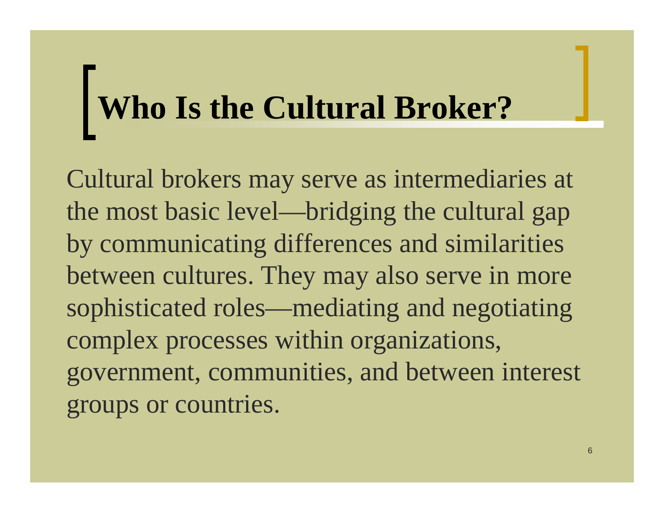# **Who Is the Cultural Broker?**

Cultural brokers may serve as intermediaries at the most basic level—bridging the cultural gap by communicating differences and similarities between cultures. They may also serve in more sophisticated roles—mediating and negotiating complex processes within organizations, government, communities, and between interest groups or countries.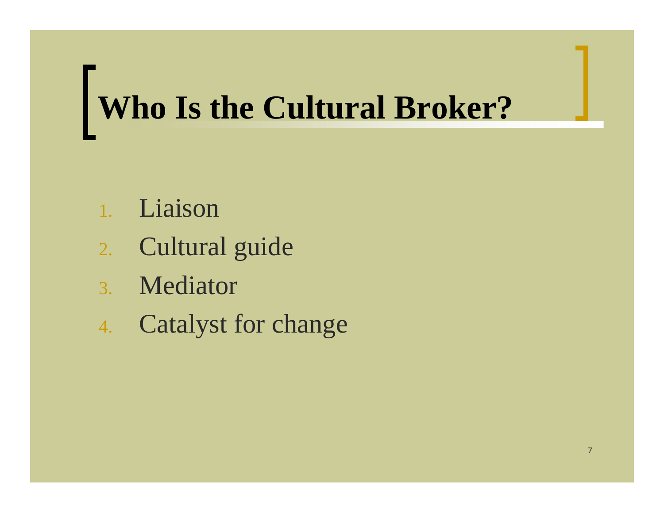## **Who Is the Cultural Broker?**

- 1.Liaison
- 2. Cultural guide
- 3. Mediator
- 4. Catalyst for change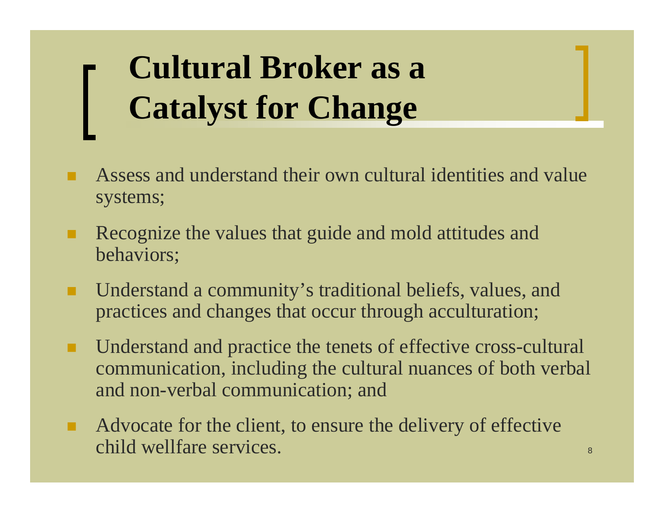#### **Cultural Broker as a Catalyst for Change**

- Assess and understand their own cultural identities and value systems;
- п Recognize the values that guide and mold attitudes and behaviors;
- п Understand a community's traditional beliefs, values, and practices and changes that occur through acculturation;
- п Understand and practice the tenets of effective cross-cultural communication, including the cultural nuances of both verbal and non-verbal communication; and
- п Advocate for the client, to ensure the delivery of effective child wellfare services.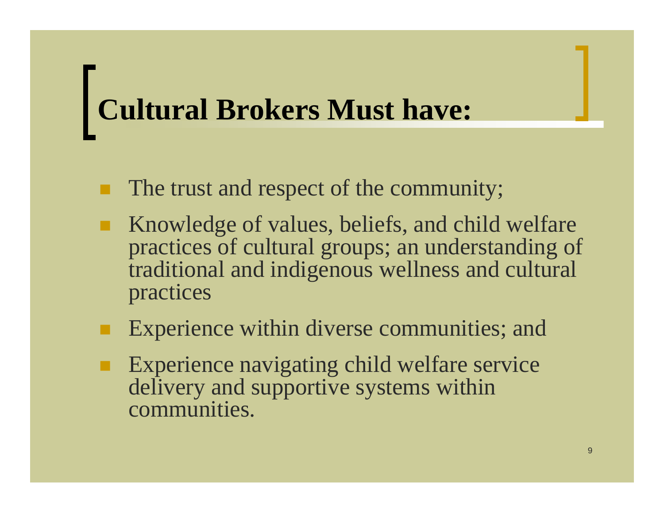## **Cultural Brokers Must have:**

- п The trust and respect of the community;
- п Knowledge of values, beliefs, and child welfare practices of cultural groups; an understanding of traditional and indigenous wellness and cultural practices
- Experience within diverse communities; and
- Experience navigating child welfare service delivery and supportive systems within communities.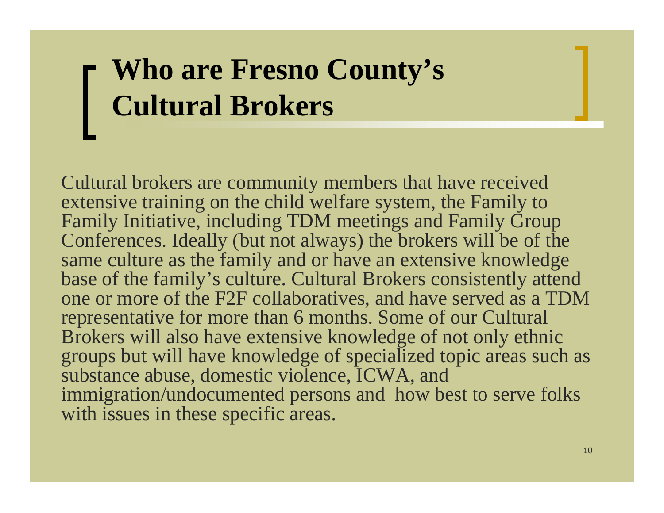#### **Who are Fresno County's Cultural Brokers**

Cultural brokers are community members that have received extensive training on the child welfare system, the Family to Family Initiative, including TDM meetings and Family Group Conferences. Ideally (but not always) the brokers will be of the same culture as the family and or have an extensive knowledge base of the family's culture. Cultural Brokers consistently attend one or more of the F2F collaboratives, and have served as a TDM representative for more than 6 months. Some of our Cultural Brokers will also have extensive knowledge of not only ethnic groups but will have knowledge of specialized topic areas such as substance abuse, domestic violence, ICWA, and immigration/undocumented persons and how best to serve folks with issues in these specific areas.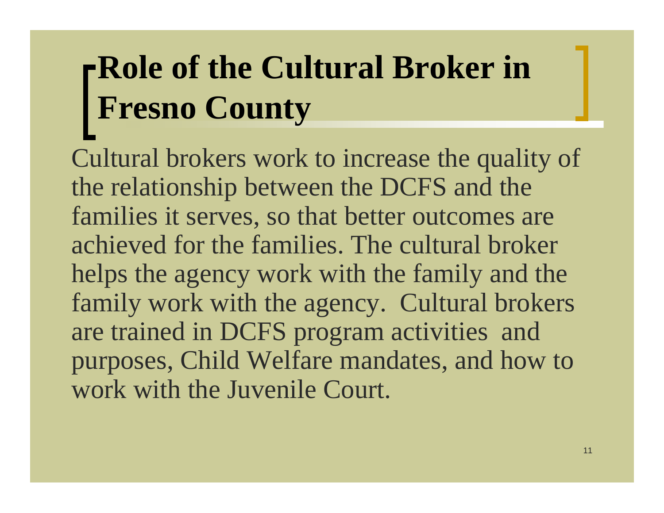#### **Role of the Cultural Broker in Fresno County**

Cultural brokers work to increase the quality of the relationship between the DCFS and the families it serves, so that better outcomes are achieved for the families. The cultural broker helps the agency work with the family and the family work with the agency. Cultural brokers are trained in DCFS program activities and purposes, Child Welfare mandates, and how to work with the Juvenile Court.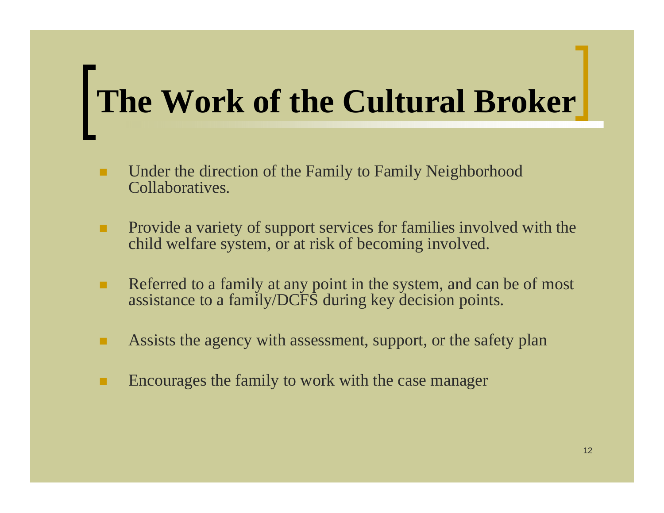## **The Work of the Cultural Broker**

- ٠ Under the direction of the Family to Family Neighborhood Collaboratives.
- . Provide a variety of support services for families involved with the child welfare system, or at risk of becoming involved.
- ٠ Referred to a family at any point in the system, and can be of most assistance to a family/DCFS during key decision points.
- ٠ Assists the agency with assessment, support, or the safety plan
- Encourages the family to work with the case manager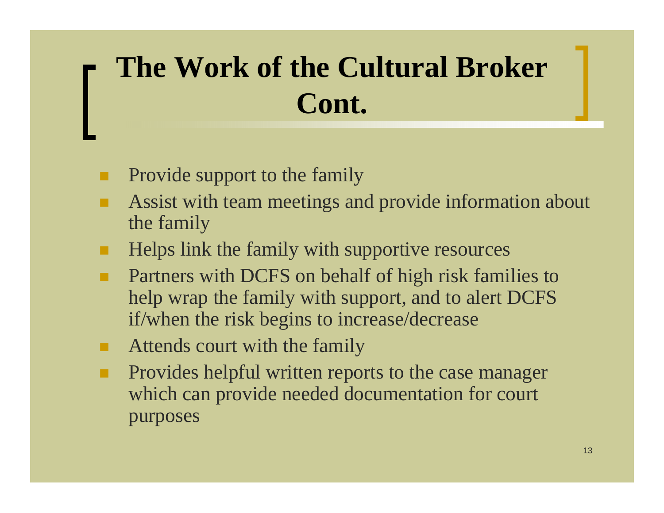#### **The Work of the Cultural Broker Cont.**

- п Provide support to the family
- Assist with team meetings and provide information about the family
- ш Helps link the family with supportive resources
- п Partners with DCFS on behalf of high risk families to help wrap the family with support, and to alert DCFS if/when the risk begins to increase/decrease
- . Attends court with the family
- п Provides helpful written reports to the case manager which can provide needed documentation for court purposes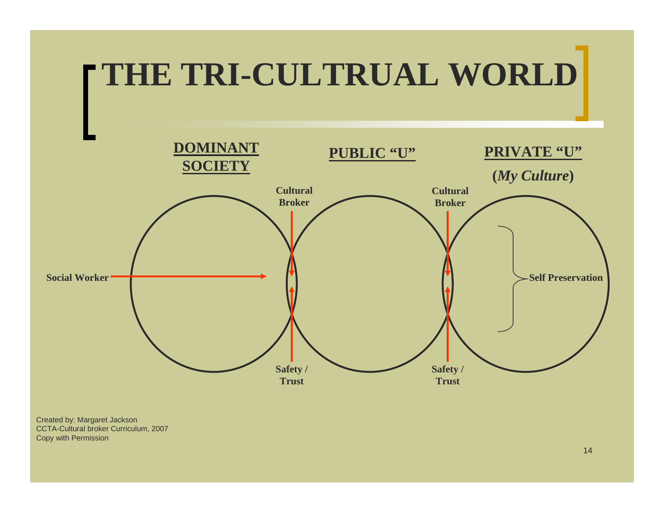

Created by: Margaret Jackson CCTA-Cultural broker Curriculum, 2007 Copy with Permission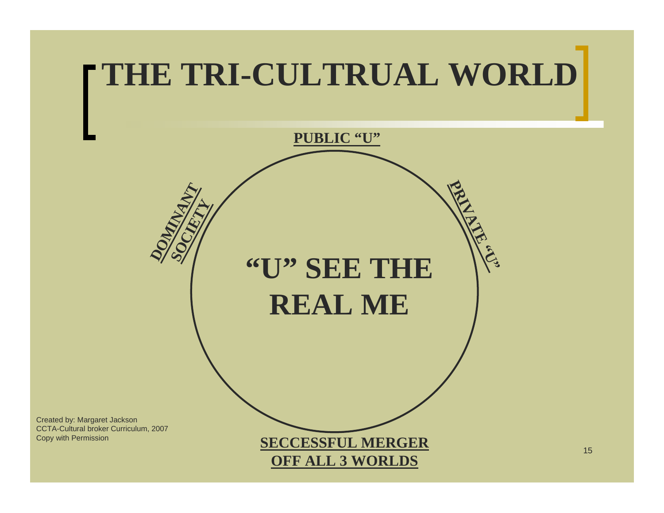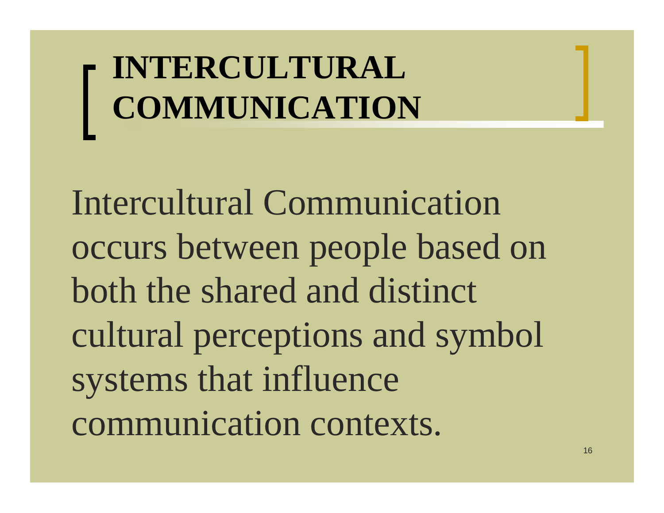**INTERCULTURAL COMMUNICATION**

Intercultural Communication occurs between people based on both the shared and distinct cultural perceptions and symbol systems that influence communication contexts.